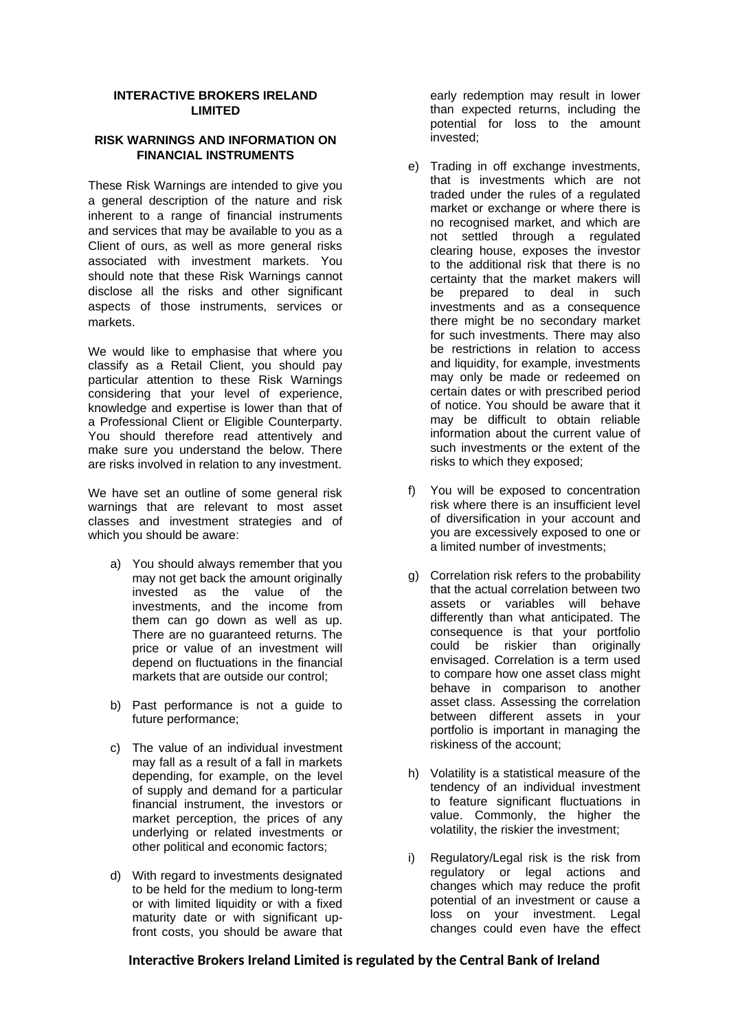#### **INTERACTIVE BROKERS IRELAND LIMITED**

### **RISK WARNINGS AND INFORMATION ON FINANCIAL INSTRUMENTS**

These Risk Warnings are intended to give you a general description of the nature and risk inherent to a range of financial instruments and services that may be available to you as a Client of ours, as well as more general risks associated with investment markets. You should note that these Risk Warnings cannot disclose all the risks and other significant aspects of those instruments, services or markets.

We would like to emphasise that where you classify as a Retail Client, you should pay particular attention to these Risk Warnings considering that your level of experience, knowledge and expertise is lower than that of a Professional Client or Eligible Counterparty. You should therefore read attentively and make sure you understand the below. There are risks involved in relation to any investment.

We have set an outline of some general risk warnings that are relevant to most asset classes and investment strategies and of which you should be aware:

- a) You should always remember that you may not get back the amount originally invested as the value of the investments, and the income from them can go down as well as up. There are no guaranteed returns. The price or value of an investment will depend on fluctuations in the financial markets that are outside our control;
- b) Past performance is not a guide to future performance;
- c) The value of an individual investment may fall as a result of a fall in markets depending, for example, on the level of supply and demand for a particular financial instrument, the investors or market perception, the prices of any underlying or related investments or other political and economic factors;
- d) With regard to investments designated to be held for the medium to long-term or with limited liquidity or with a fixed maturity date or with significant upfront costs, you should be aware that

early redemption may result in lower than expected returns, including the potential for loss to the amount invested;

- e) Trading in off exchange investments, that is investments which are not traded under the rules of a regulated market or exchange or where there is no recognised market, and which are not settled through a regulated clearing house, exposes the investor to the additional risk that there is no certainty that the market makers will be prepared to deal in such investments and as a consequence there might be no secondary market for such investments. There may also be restrictions in relation to access and liquidity, for example, investments may only be made or redeemed on certain dates or with prescribed period of notice. You should be aware that it may be difficult to obtain reliable information about the current value of such investments or the extent of the risks to which they exposed;
- f) You will be exposed to concentration risk where there is an insufficient level of diversification in your account and you are excessively exposed to one or a limited number of investments;
- g) Correlation risk refers to the probability that the actual correlation between two assets or variables will behave differently than what anticipated. The consequence is that your portfolio could be riskier than originally envisaged. Correlation is a term used to compare how one asset class might behave in comparison to another asset class. Assessing the correlation between different assets in your portfolio is important in managing the riskiness of the account;
- h) Volatility is a statistical measure of the tendency of an individual investment to feature significant fluctuations in value. Commonly, the higher the volatility, the riskier the investment;
- i) Regulatory/Legal risk is the risk from regulatory or legal actions and changes which may reduce the profit potential of an investment or cause a loss on your investment. Legal changes could even have the effect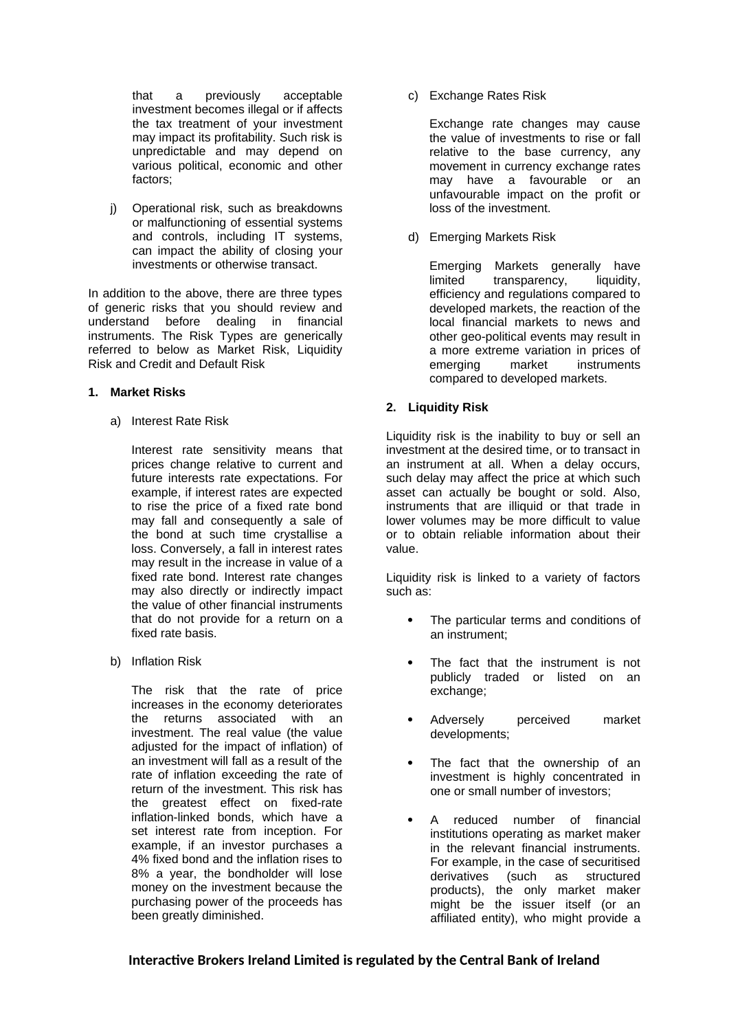that a previously acceptable investment becomes illegal or if affects the tax treatment of your investment may impact its profitability. Such risk is unpredictable and may depend on various political, economic and other factors;

j) Operational risk, such as breakdowns or malfunctioning of essential systems and controls, including IT systems, can impact the ability of closing your investments or otherwise transact.

In addition to the above, there are three types of generic risks that you should review and understand before dealing in financial instruments. The Risk Types are generically referred to below as Market Risk, Liquidity Risk and Credit and Default Risk

#### **1. Market Risks**

a) Interest Rate Risk

Interest rate sensitivity means that prices change relative to current and future interests rate expectations. For example, if interest rates are expected to rise the price of a fixed rate bond may fall and consequently a sale of the bond at such time crystallise a loss. Conversely, a fall in interest rates may result in the increase in value of a fixed rate bond. Interest rate changes may also directly or indirectly impact the value of other financial instruments that do not provide for a return on a fixed rate basis.

b) Inflation Risk

The risk that the rate of price increases in the economy deteriorates the returns associated with an investment. The real value (the value adjusted for the impact of inflation) of an investment will fall as a result of the rate of inflation exceeding the rate of return of the investment. This risk has the greatest effect on fixed-rate inflation-linked bonds, which have a set interest rate from inception. For example, if an investor purchases a 4% fixed bond and the inflation rises to 8% a year, the bondholder will lose money on the investment because the purchasing power of the proceeds has been greatly diminished.

c) Exchange Rates Risk

Exchange rate changes may cause the value of investments to rise or fall relative to the base currency, any movement in currency exchange rates may have a favourable or an unfavourable impact on the profit or loss of the investment.

d) Emerging Markets Risk

Emerging Markets generally have limited transparency, liquidity, efficiency and regulations compared to developed markets, the reaction of the local financial markets to news and other geo-political events may result in a more extreme variation in prices of emerging market instruments compared to developed markets.

#### **2. Liquidity Risk**

Liquidity risk is the inability to buy or sell an investment at the desired time, or to transact in an instrument at all. When a delay occurs, such delay may affect the price at which such asset can actually be bought or sold. Also, instruments that are illiquid or that trade in lower volumes may be more difficult to value or to obtain reliable information about their value.

Liquidity risk is linked to a variety of factors such as:

- The particular terms and conditions of an instrument;
- The fact that the instrument is not publicly traded or listed on an exchange;
- Adversely perceived market developments;
- The fact that the ownership of an investment is highly concentrated in one or small number of investors;
- A reduced number of financial institutions operating as market maker in the relevant financial instruments. For example, in the case of securitised derivatives (such as structured products), the only market maker might be the issuer itself (or an affiliated entity), who might provide a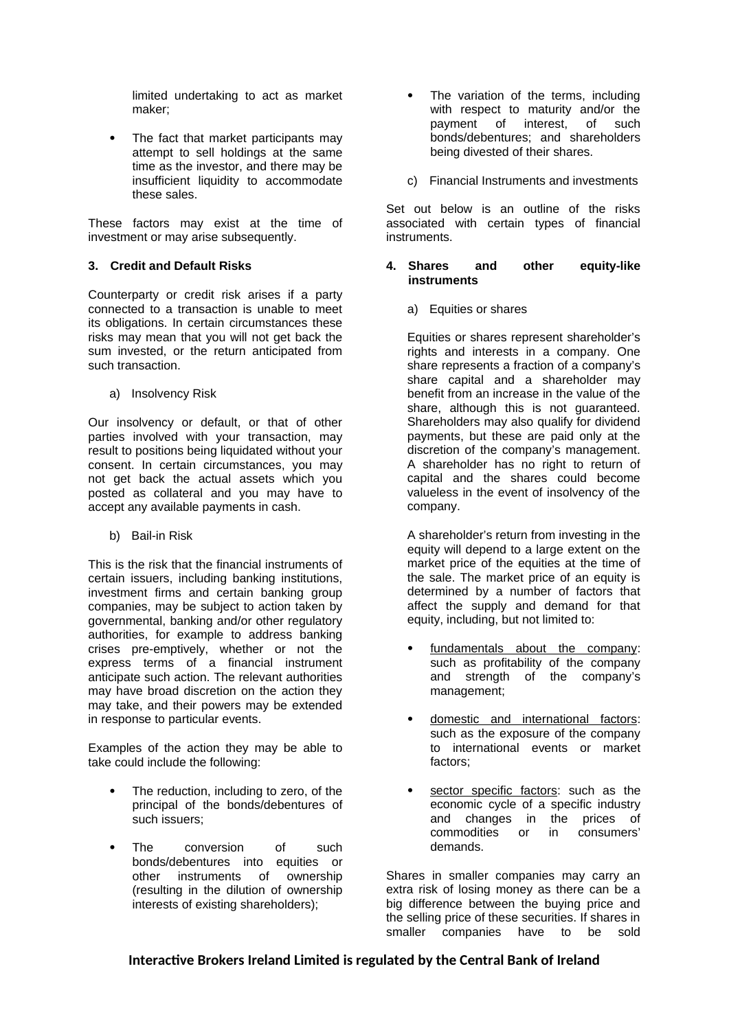limited undertaking to act as market maker;

 The fact that market participants may attempt to sell holdings at the same time as the investor, and there may be insufficient liquidity to accommodate these sales.

These factors may exist at the time of investment or may arise subsequently.

## **3. Credit and Default Risks**

Counterparty or credit risk arises if a party connected to a transaction is unable to meet its obligations. In certain circumstances these risks may mean that you will not get back the sum invested, or the return anticipated from such transaction.

a) Insolvency Risk

Our insolvency or default, or that of other parties involved with your transaction, may result to positions being liquidated without your consent. In certain circumstances, you may not get back the actual assets which you posted as collateral and you may have to accept any available payments in cash.

b) Bail-in Risk

This is the risk that the financial instruments of certain issuers, including banking institutions, investment firms and certain banking group companies, may be subject to action taken by governmental, banking and/or other regulatory authorities, for example to address banking crises pre-emptively, whether or not the express terms of a financial instrument anticipate such action. The relevant authorities may have broad discretion on the action they may take, and their powers may be extended in response to particular events.

Examples of the action they may be able to take could include the following:

- The reduction, including to zero, of the principal of the bonds/debentures of such issuers;
- The conversion of such bonds/debentures into equities or other instruments of ownership (resulting in the dilution of ownership interests of existing shareholders);
- The variation of the terms, including with respect to maturity and/or the payment of interest, of such bonds/debentures; and shareholders being divested of their shares.
- c) Financial Instruments and investments

Set out below is an outline of the risks associated with certain types of financial instruments.

### **4. Shares and other equity-like instruments**

a) Equities or shares

Equities or shares represent shareholder's rights and interests in a company. One share represents a fraction of a company's share capital and a shareholder may benefit from an increase in the value of the share, although this is not guaranteed. Shareholders may also qualify for dividend payments, but these are paid only at the discretion of the company's management. A shareholder has no right to return of capital and the shares could become valueless in the event of insolvency of the company.

A shareholder's return from investing in the equity will depend to a large extent on the market price of the equities at the time of the sale. The market price of an equity is determined by a number of factors that affect the supply and demand for that equity, including, but not limited to:

- fundamentals about the company: such as profitability of the company and strength of the company's management;
- domestic and international factors: such as the exposure of the company to international events or market factors;
- sector specific factors: such as the economic cycle of a specific industry and changes in the prices of commodities or in consumers' demands.

Shares in smaller companies may carry an extra risk of losing money as there can be a big difference between the buying price and the selling price of these securities. If shares in smaller companies have to be sold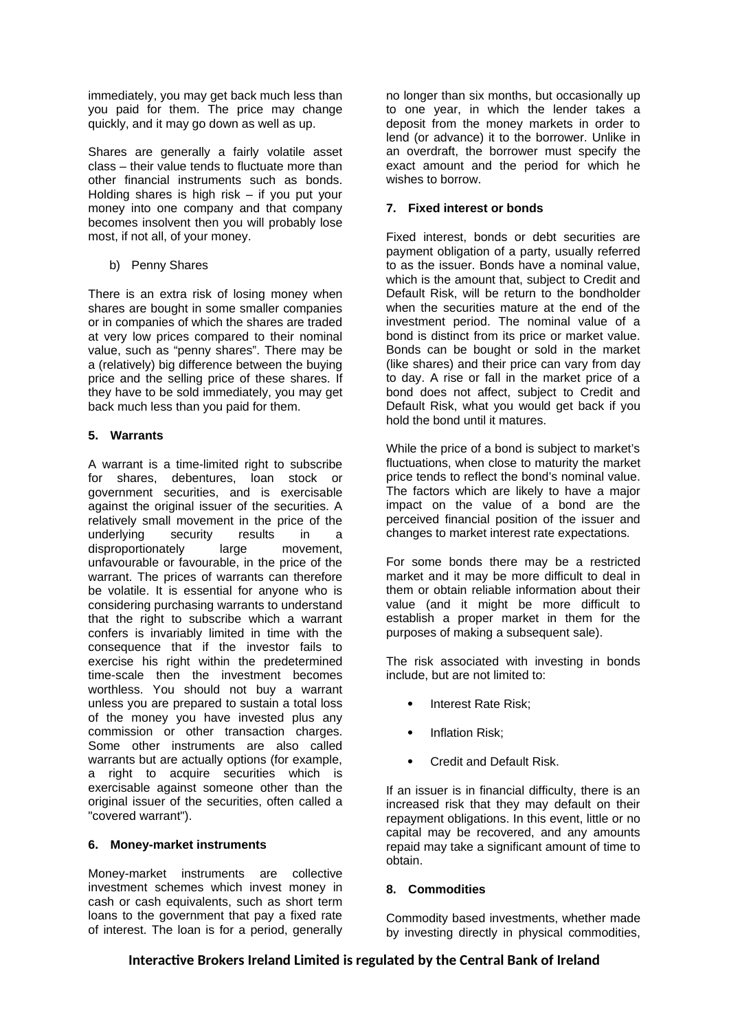immediately, you may get back much less than you paid for them. The price may change quickly, and it may go down as well as up.

Shares are generally a fairly volatile asset class – their value tends to fluctuate more than other financial instruments such as bonds. Holding shares is high risk – if you put your money into one company and that company becomes insolvent then you will probably lose most, if not all, of your money.

b) Penny Shares

There is an extra risk of losing money when shares are bought in some smaller companies or in companies of which the shares are traded at very low prices compared to their nominal value, such as "penny shares". There may be a (relatively) big difference between the buying price and the selling price of these shares. If they have to be sold immediately, you may get back much less than you paid for them.

## **5. Warrants**

A warrant is a time-limited right to subscribe for shares, debentures, loan stock or government securities, and is exercisable against the original issuer of the securities. A relatively small movement in the price of the underlying security results in a disproportionately large movement, unfavourable or favourable, in the price of the warrant. The prices of warrants can therefore be volatile. It is essential for anyone who is considering purchasing warrants to understand that the right to subscribe which a warrant confers is invariably limited in time with the consequence that if the investor fails to exercise his right within the predetermined time-scale then the investment becomes worthless. You should not buy a warrant unless you are prepared to sustain a total loss of the money you have invested plus any commission or other transaction charges. Some other instruments are also called warrants but are actually options (for example, a right to acquire securities which is exercisable against someone other than the original issuer of the securities, often called a "covered warrant").

## **6. Money-market instruments**

Money-market instruments are collective investment schemes which invest money in cash or cash equivalents, such as short term loans to the government that pay a fixed rate of interest. The loan is for a period, generally

no longer than six months, but occasionally up to one year, in which the lender takes a deposit from the money markets in order to lend (or advance) it to the borrower. Unlike in an overdraft, the borrower must specify the exact amount and the period for which he wishes to borrow.

## **7. Fixed interest or bonds**

Fixed interest, bonds or debt securities are payment obligation of a party, usually referred to as the issuer. Bonds have a nominal value, which is the amount that, subject to Credit and Default Risk, will be return to the bondholder when the securities mature at the end of the investment period. The nominal value of a bond is distinct from its price or market value. Bonds can be bought or sold in the market (like shares) and their price can vary from day to day. A rise or fall in the market price of a bond does not affect, subject to Credit and Default Risk, what you would get back if you hold the bond until it matures.

While the price of a bond is subject to market's fluctuations, when close to maturity the market price tends to reflect the bond's nominal value. The factors which are likely to have a major impact on the value of a bond are the perceived financial position of the issuer and changes to market interest rate expectations.

For some bonds there may be a restricted market and it may be more difficult to deal in them or obtain reliable information about their value (and it might be more difficult to establish a proper market in them for the purposes of making a subsequent sale).

The risk associated with investing in bonds include, but are not limited to:

- Interest Rate Risk;
- Inflation Risk;
- Credit and Default Risk.

If an issuer is in financial difficulty, there is an increased risk that they may default on their repayment obligations. In this event, little or no capital may be recovered, and any amounts repaid may take a significant amount of time to obtain.

## **8. Commodities**

Commodity based investments, whether made by investing directly in physical commodities,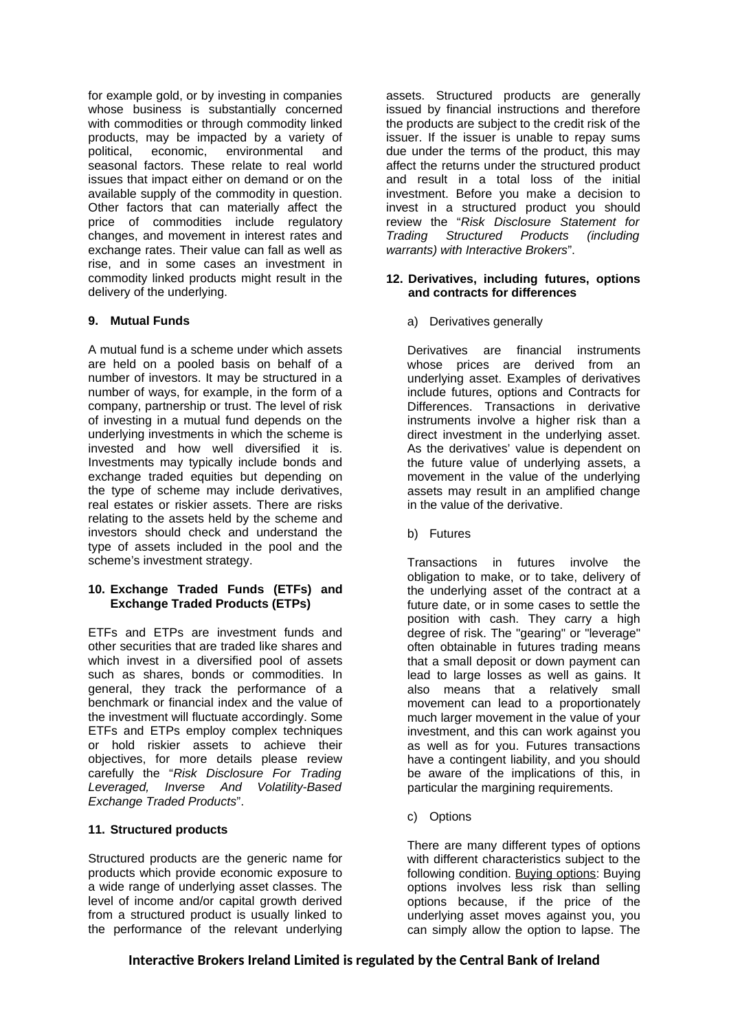for example gold, or by investing in companies whose business is substantially concerned with commodities or through commodity linked products, may be impacted by a variety of political, economic, environmental and seasonal factors. These relate to real world issues that impact either on demand or on the available supply of the commodity in question. Other factors that can materially affect the price of commodities include regulatory changes, and movement in interest rates and exchange rates. Their value can fall as well as rise, and in some cases an investment in commodity linked products might result in the delivery of the underlying.

## **9. Mutual Funds**

A mutual fund is a scheme under which assets are held on a pooled basis on behalf of a number of investors. It may be structured in a number of ways, for example, in the form of a company, partnership or trust. The level of risk of investing in a mutual fund depends on the underlying investments in which the scheme is invested and how well diversified it is. Investments may typically include bonds and exchange traded equities but depending on the type of scheme may include derivatives, real estates or riskier assets. There are risks relating to the assets held by the scheme and investors should check and understand the type of assets included in the pool and the scheme's investment strategy.

## **10. Exchange Traded Funds (ETFs) and Exchange Traded Products (ETPs)**

ETFs and ETPs are investment funds and other securities that are traded like shares and which invest in a diversified pool of assets such as shares, bonds or commodities. In general, they track the performance of a benchmark or financial index and the value of the investment will fluctuate accordingly. Some ETFs and ETPs employ complex techniques or hold riskier assets to achieve their objectives, for more details please review carefully the "*Risk Disclosure For Trading Leveraged, Inverse And Volatility-Based Exchange Traded Products*".

### **11. Structured products**

Structured products are the generic name for products which provide economic exposure to a wide range of underlying asset classes. The level of income and/or capital growth derived from a structured product is usually linked to the performance of the relevant underlying

assets. Structured products are generally issued by financial instructions and therefore the products are subject to the credit risk of the issuer. If the issuer is unable to repay sums due under the terms of the product, this may affect the returns under the structured product and result in a total loss of the initial investment. Before you make a decision to invest in a structured product you should review the "*Risk Disclosure Statement for Trading Structured Products (including warrants) with Interactive Brokers*".

### **12. Derivatives, including futures, options and contracts for differences**

a) Derivatives generally

Derivatives are financial instruments whose prices are derived from an underlying asset. Examples of derivatives include futures, options and Contracts for Differences. Transactions in derivative instruments involve a higher risk than a direct investment in the underlying asset. As the derivatives' value is dependent on the future value of underlying assets, a movement in the value of the underlying assets may result in an amplified change in the value of the derivative.

b) Futures

Transactions in futures involve the obligation to make, or to take, delivery of the underlying asset of the contract at a future date, or in some cases to settle the position with cash. They carry a high degree of risk. The "gearing" or "leverage" often obtainable in futures trading means that a small deposit or down payment can lead to large losses as well as gains. It also means that a relatively small movement can lead to a proportionately much larger movement in the value of your investment, and this can work against you as well as for you. Futures transactions have a contingent liability, and you should be aware of the implications of this, in particular the margining requirements.

c) Options

There are many different types of options with different characteristics subject to the following condition. Buying options: Buying options involves less risk than selling options because, if the price of the underlying asset moves against you, you can simply allow the option to lapse. The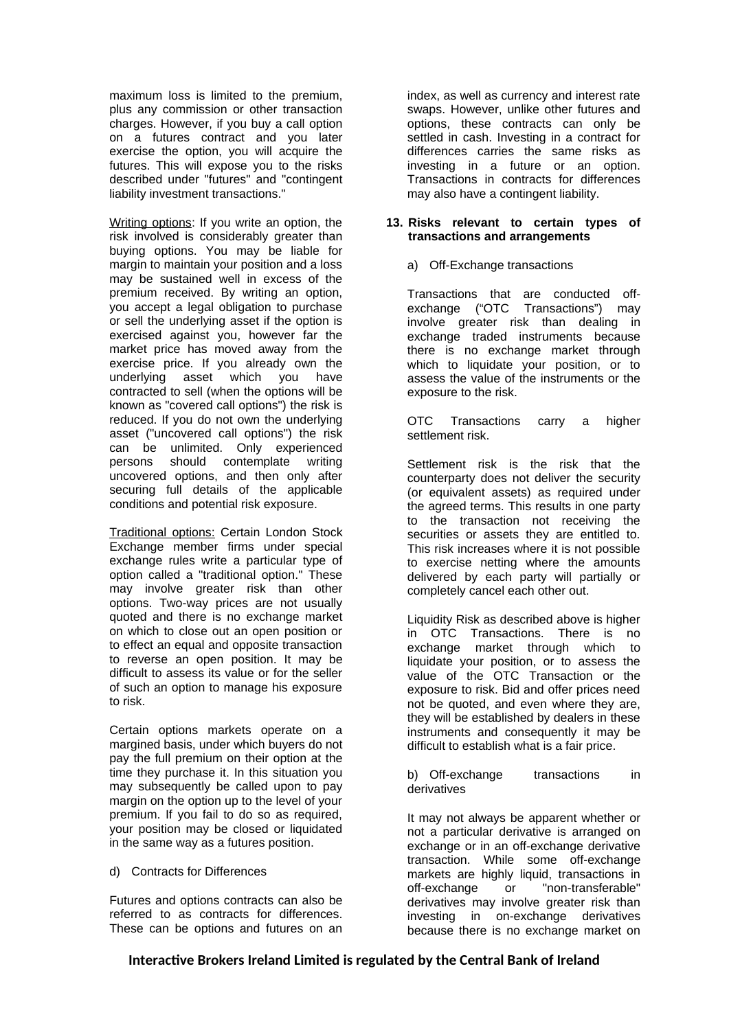maximum loss is limited to the premium, plus any commission or other transaction charges. However, if you buy a call option on a futures contract and you later exercise the option, you will acquire the futures. This will expose you to the risks described under "futures" and "contingent liability investment transactions."

Writing options: If you write an option, the risk involved is considerably greater than buying options. You may be liable for margin to maintain your position and a loss may be sustained well in excess of the premium received. By writing an option, you accept a legal obligation to purchase or sell the underlying asset if the option is exercised against you, however far the market price has moved away from the exercise price. If you already own the underlying asset which you have contracted to sell (when the options will be known as "covered call options") the risk is reduced. If you do not own the underlying asset ("uncovered call options") the risk can be unlimited. Only experienced persons should contemplate writing uncovered options, and then only after securing full details of the applicable conditions and potential risk exposure.

Traditional options: Certain London Stock Exchange member firms under special exchange rules write a particular type of option called a "traditional option." These may involve greater risk than other options. Two-way prices are not usually quoted and there is no exchange market on which to close out an open position or to effect an equal and opposite transaction to reverse an open position. It may be difficult to assess its value or for the seller of such an option to manage his exposure to risk.

Certain options markets operate on a margined basis, under which buyers do not pay the full premium on their option at the time they purchase it. In this situation you may subsequently be called upon to pay margin on the option up to the level of your premium. If you fail to do so as required, your position may be closed or liquidated in the same way as a futures position.

### d) Contracts for Differences

Futures and options contracts can also be referred to as contracts for differences. These can be options and futures on an index, as well as currency and interest rate swaps. However, unlike other futures and options, these contracts can only be settled in cash. Investing in a contract for differences carries the same risks as investing in a future or an option. Transactions in contracts for differences may also have a contingent liability.

### **13. Risks relevant to certain types of transactions and arrangements**

## a) Off-Exchange transactions

Transactions that are conducted offexchange ("OTC Transactions") may involve greater risk than dealing in exchange traded instruments because there is no exchange market through which to liquidate your position, or to assess the value of the instruments or the exposure to the risk.

OTC Transactions carry a higher settlement risk.

Settlement risk is the risk that the counterparty does not deliver the security (or equivalent assets) as required under the agreed terms. This results in one party to the transaction not receiving the securities or assets they are entitled to. This risk increases where it is not possible to exercise netting where the amounts delivered by each party will partially or completely cancel each other out.

Liquidity Risk as described above is higher in OTC Transactions. There is no exchange market through which to liquidate your position, or to assess the value of the OTC Transaction or the exposure to risk. Bid and offer prices need not be quoted, and even where they are, they will be established by dealers in these instruments and consequently it may be difficult to establish what is a fair price.

b) Off-exchange transactions in derivatives

It may not always be apparent whether or not a particular derivative is arranged on exchange or in an off-exchange derivative transaction. While some off-exchange markets are highly liquid, transactions in off-exchange or "non-transferable" derivatives may involve greater risk than investing in on-exchange derivatives because there is no exchange market on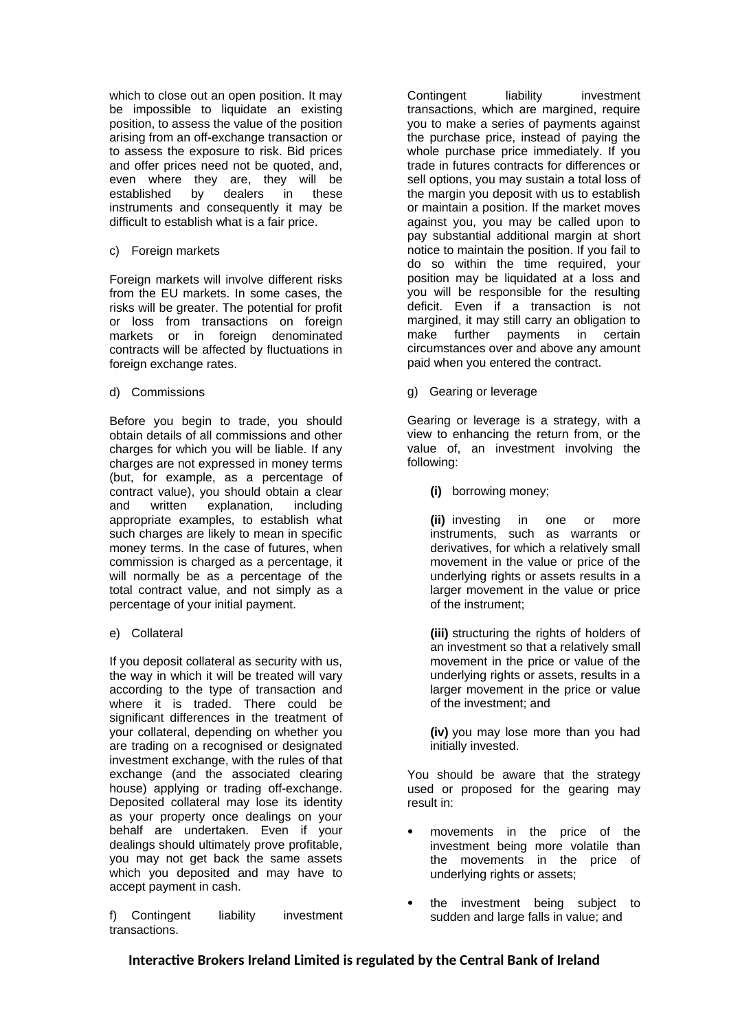which to close out an open position. It may be impossible to liquidate an existing position, to assess the value of the position arising from an off-exchange transaction or to assess the exposure to risk. Bid prices and offer prices need not be quoted, and, even where they are, they will be<br>established by dealers in these established by dealers in these instruments and consequently it may be difficult to establish what is a fair price.

### c) Foreign markets

Foreign markets will involve different risks from the EU markets. In some cases, the risks will be greater. The potential for profit or loss from transactions on foreign markets or in foreign denominated contracts will be affected by fluctuations in foreign exchange rates.

### d) Commissions

Before you begin to trade, you should obtain details of all commissions and other charges for which you will be liable. If any charges are not expressed in money terms (but, for example, as a percentage of contract value), you should obtain a clear and written explanation, including appropriate examples, to establish what such charges are likely to mean in specific money terms. In the case of futures, when commission is charged as a percentage, it will normally be as a percentage of the total contract value, and not simply as a percentage of your initial payment.

e) Collateral

If you deposit collateral as security with us, the way in which it will be treated will vary according to the type of transaction and where it is traded. There could be significant differences in the treatment of your collateral, depending on whether you are trading on a recognised or designated investment exchange, with the rules of that exchange (and the associated clearing house) applying or trading off-exchange. Deposited collateral may lose its identity as your property once dealings on your behalf are undertaken. Even if your dealings should ultimately prove profitable, you may not get back the same assets which you deposited and may have to accept payment in cash.

f) Contingent liability investment transactions.

Contingent liability investment transactions, which are margined, require you to make a series of payments against the purchase price, instead of paying the whole purchase price immediately. If you trade in futures contracts for differences or sell options, you may sustain a total loss of the margin you deposit with us to establish or maintain a position. If the market moves against you, you may be called upon to pay substantial additional margin at short notice to maintain the position. If you fail to do so within the time required, your position may be liquidated at a loss and you will be responsible for the resulting deficit. Even if a transaction is not margined, it may still carry an obligation to make further payments in certain circumstances over and above any amount paid when you entered the contract.

g) Gearing or leverage

Gearing or leverage is a strategy, with a view to enhancing the return from, or the value of, an investment involving the following:

**(i)** borrowing money;

**(ii)** investing in one or more instruments, such as warrants or derivatives, for which a relatively small movement in the value or price of the underlying rights or assets results in a larger movement in the value or price of the instrument;

**(iii)** structuring the rights of holders of an investment so that a relatively small movement in the price or value of the underlying rights or assets, results in a larger movement in the price or value of the investment; and

**(iv)** you may lose more than you had initially invested.

You should be aware that the strategy used or proposed for the gearing may result in:

- movements in the price of the investment being more volatile than the movements in the price of underlying rights or assets;
- the investment being subject to sudden and large falls in value; and